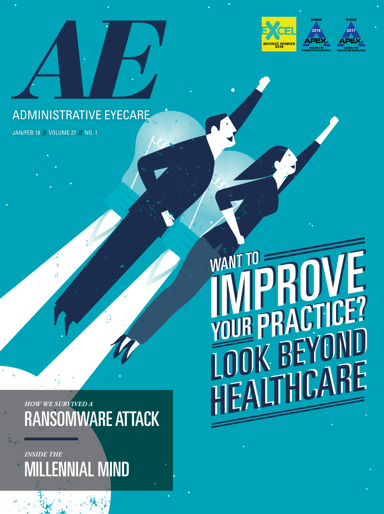





## ADMINISTRATIVE EYECARE

JAN/FEB 18 **//** VOLUME 27 **//** NO. 1

WANT TO L<br>L CTICE? YOUR p  $\overline{\phantom{a}}$ 

*HOW WE SURVIVED A* RANSOMWARE ATTACK

*INSIDE THE* MILLENNIAL MIND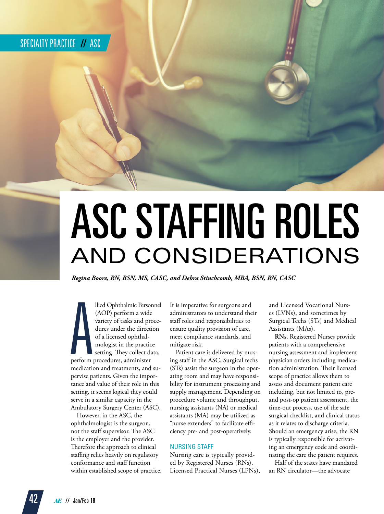# ASC STAFFING ROLES AND CONSIDERATIONS

*Regina Boore, RN, BSN, MS, CASC, and Debra Stinchcomb, MBA, BSN, RN, CASC*

**A**<br>perform llied Ophthalmic Personnel (AOP) perform a wide variety of tasks and procedures under the direction of a licensed ophthalmologist in the practice setting. They collect data, perform procedures, administer medication and treatments, and supervise patients. Given the importance and value of their role in this setting, it seems logical they could serve in a similar capacity in the Ambulatory Surgery Center (ASC).

However, in the ASC, the ophthalmologist is the surgeon, not the staff supervisor. The ASC is the employer and the provider. Therefore the approach to clinical staffing relies heavily on regulatory conformance and staff function within established scope of practice. It is imperative for surgeons and administrators to understand their staff roles and responsibilities to ensure quality provision of care, meet compliance standards, and mitigate risk.

Patient care is delivered by nursing staff in the ASC. Surgical techs (STs) assist the surgeon in the operating room and may have responsibility for instrument processing and supply management. Depending on procedure volume and throughput, nursing assistants (NA) or medical assistants (MA) may be utilized as "nurse extenders" to facilitate efficiency pre- and post-operatively.

#### NURSING STAFF

Nursing care is typically provided by Registered Nurses (RNs), Licensed Practical Nurses (LPNs), and Licensed Vocational Nurses (LVNs), and sometimes by Surgical Techs (STs) and Medical Assistants (MAs).

**RNs.** Registered Nurses provide patients with a comprehensive nursing assessment and implement physician orders including medication administration. Their licensed scope of practice allows them to assess and document patient care including, but not limited to, preand post-op patient assessment, the time-out process, use of the safe surgical checklist, and clinical status as it relates to discharge criteria. Should an emergency arise, the RN is typically responsible for activating an emergency code and coordinating the care the patient requires.

Half of the states have mandated an RN circulator—the advocate